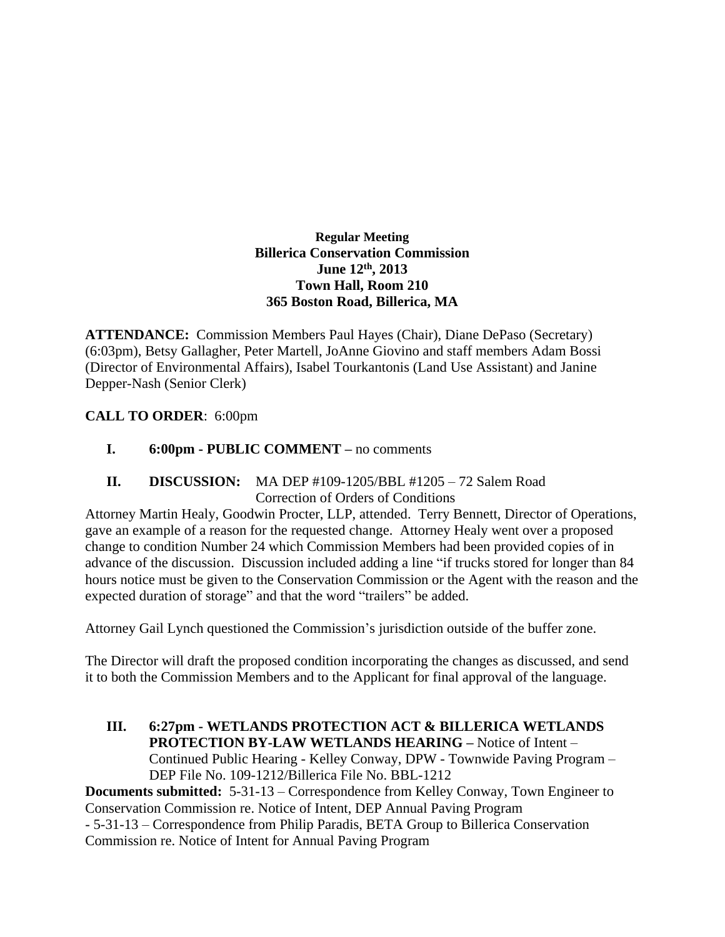#### **Regular Meeting Billerica Conservation Commission June 12th , 2013 Town Hall, Room 210 365 Boston Road, Billerica, MA**

**ATTENDANCE:** Commission Members Paul Hayes (Chair), Diane DePaso (Secretary) (6:03pm), Betsy Gallagher, Peter Martell, JoAnne Giovino and staff members Adam Bossi (Director of Environmental Affairs), Isabel Tourkantonis (Land Use Assistant) and Janine Depper-Nash (Senior Clerk)

# **CALL TO ORDER**: 6:00pm

**I. 6:00pm - PUBLIC COMMENT –** no comments

## **II. DISCUSSION:** MA DEP #109-1205/BBL #1205 – 72 Salem Road Correction of Orders of Conditions

Attorney Martin Healy, Goodwin Procter, LLP, attended. Terry Bennett, Director of Operations, gave an example of a reason for the requested change. Attorney Healy went over a proposed change to condition Number 24 which Commission Members had been provided copies of in advance of the discussion. Discussion included adding a line "if trucks stored for longer than 84 hours notice must be given to the Conservation Commission or the Agent with the reason and the expected duration of storage" and that the word "trailers" be added.

Attorney Gail Lynch questioned the Commission's jurisdiction outside of the buffer zone.

The Director will draft the proposed condition incorporating the changes as discussed, and send it to both the Commission Members and to the Applicant for final approval of the language.

**III. 6:27pm - WETLANDS PROTECTION ACT & BILLERICA WETLANDS PROTECTION BY-LAW WETLANDS HEARING –** Notice of Intent – Continued Public Hearing - Kelley Conway, DPW - Townwide Paving Program – DEP File No. 109-1212/Billerica File No. BBL-1212 **Documents submitted:** 5-31-13 – Correspondence from Kelley Conway, Town Engineer to

Conservation Commission re. Notice of Intent, DEP Annual Paving Program - 5-31-13 – Correspondence from Philip Paradis, BETA Group to Billerica Conservation Commission re. Notice of Intent for Annual Paving Program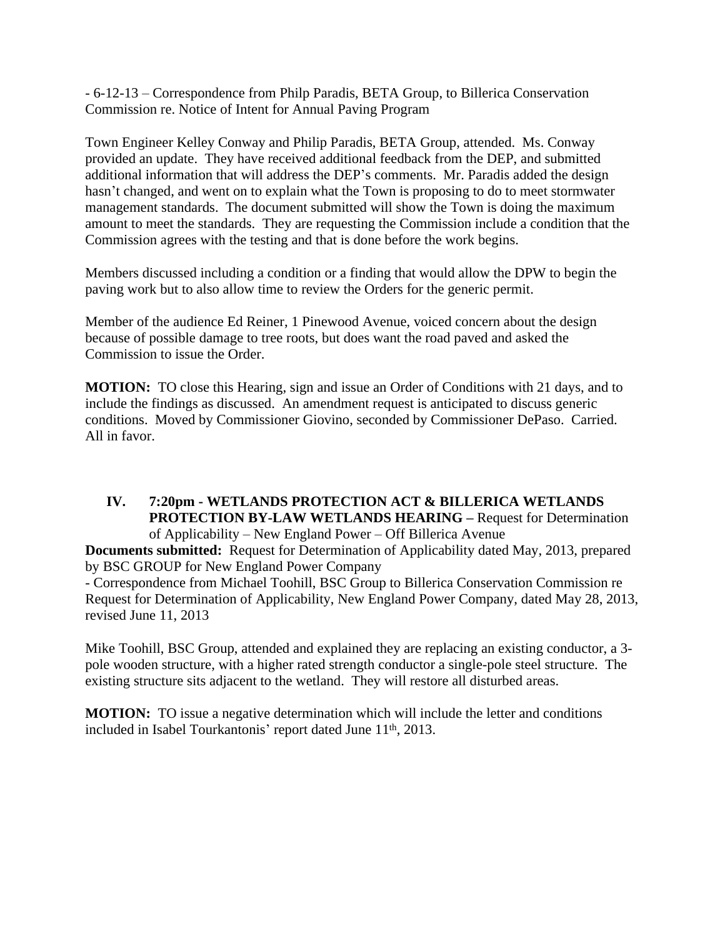- 6-12-13 – Correspondence from Philp Paradis, BETA Group, to Billerica Conservation Commission re. Notice of Intent for Annual Paving Program

Town Engineer Kelley Conway and Philip Paradis, BETA Group, attended. Ms. Conway provided an update. They have received additional feedback from the DEP, and submitted additional information that will address the DEP's comments. Mr. Paradis added the design hasn't changed, and went on to explain what the Town is proposing to do to meet stormwater management standards. The document submitted will show the Town is doing the maximum amount to meet the standards. They are requesting the Commission include a condition that the Commission agrees with the testing and that is done before the work begins.

Members discussed including a condition or a finding that would allow the DPW to begin the paving work but to also allow time to review the Orders for the generic permit.

Member of the audience Ed Reiner, 1 Pinewood Avenue, voiced concern about the design because of possible damage to tree roots, but does want the road paved and asked the Commission to issue the Order.

**MOTION:** TO close this Hearing, sign and issue an Order of Conditions with 21 days, and to include the findings as discussed. An amendment request is anticipated to discuss generic conditions. Moved by Commissioner Giovino, seconded by Commissioner DePaso. Carried. All in favor.

**IV. 7:20pm - WETLANDS PROTECTION ACT & BILLERICA WETLANDS PROTECTION BY-LAW WETLANDS HEARING –** Request for Determination of Applicability – New England Power – Off Billerica Avenue

**Documents submitted:** Request for Determination of Applicability dated May, 2013, prepared by BSC GROUP for New England Power Company

- Correspondence from Michael Toohill, BSC Group to Billerica Conservation Commission re Request for Determination of Applicability, New England Power Company, dated May 28, 2013, revised June 11, 2013

Mike Toohill, BSC Group, attended and explained they are replacing an existing conductor, a 3 pole wooden structure, with a higher rated strength conductor a single-pole steel structure. The existing structure sits adjacent to the wetland. They will restore all disturbed areas.

**MOTION:** TO issue a negative determination which will include the letter and conditions included in Isabel Tourkantonis' report dated June 11<sup>th</sup>, 2013.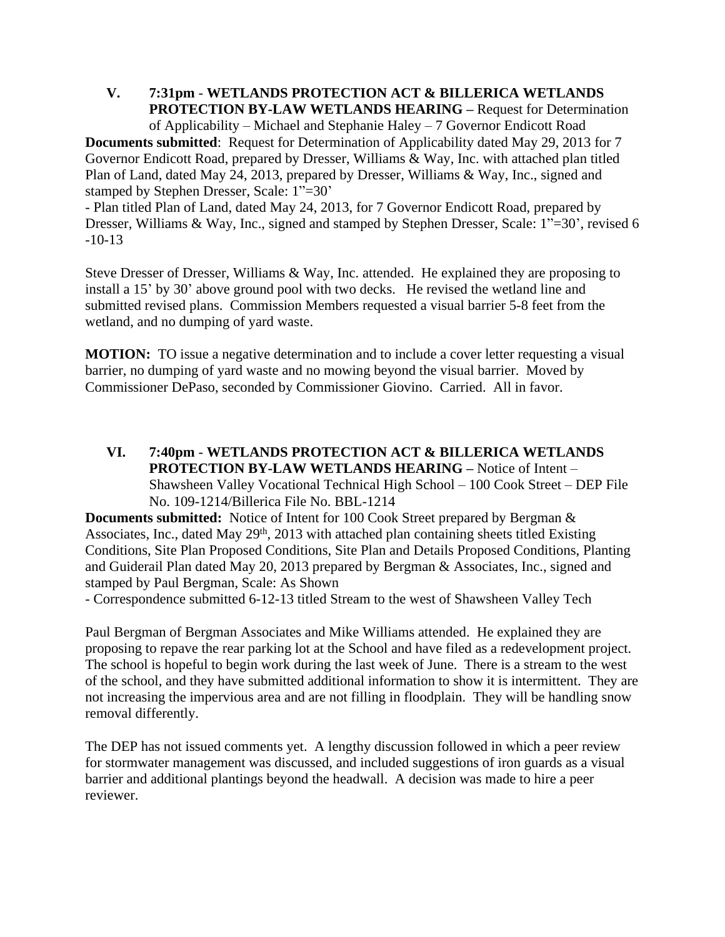**V. 7:31pm** - **WETLANDS PROTECTION ACT & BILLERICA WETLANDS PROTECTION BY-LAW WETLANDS HEARING –** Request for Determination of Applicability – Michael and Stephanie Haley – 7 Governor Endicott Road

**Documents submitted**: Request for Determination of Applicability dated May 29, 2013 for 7 Governor Endicott Road, prepared by Dresser, Williams & Way, Inc. with attached plan titled Plan of Land, dated May 24, 2013, prepared by Dresser, Williams & Way, Inc., signed and stamped by Stephen Dresser, Scale: 1"=30'

- Plan titled Plan of Land, dated May 24, 2013, for 7 Governor Endicott Road, prepared by Dresser, Williams & Way, Inc., signed and stamped by Stephen Dresser, Scale: 1"=30', revised 6 -10-13

Steve Dresser of Dresser, Williams & Way, Inc. attended. He explained they are proposing to install a 15' by 30' above ground pool with two decks. He revised the wetland line and submitted revised plans. Commission Members requested a visual barrier 5-8 feet from the wetland, and no dumping of yard waste.

**MOTION:** TO issue a negative determination and to include a cover letter requesting a visual barrier, no dumping of yard waste and no mowing beyond the visual barrier. Moved by Commissioner DePaso, seconded by Commissioner Giovino. Carried. All in favor.

**VI. 7:40pm** - **WETLANDS PROTECTION ACT & BILLERICA WETLANDS PROTECTION BY-LAW WETLANDS HEARING –** Notice of Intent – Shawsheen Valley Vocational Technical High School – 100 Cook Street – DEP File No. 109-1214/Billerica File No. BBL-1214

**Documents submitted:** Notice of Intent for 100 Cook Street prepared by Bergman & Associates, Inc., dated May 29<sup>th</sup>, 2013 with attached plan containing sheets titled Existing Conditions, Site Plan Proposed Conditions, Site Plan and Details Proposed Conditions, Planting and Guiderail Plan dated May 20, 2013 prepared by Bergman & Associates, Inc., signed and stamped by Paul Bergman, Scale: As Shown

- Correspondence submitted 6-12-13 titled Stream to the west of Shawsheen Valley Tech

Paul Bergman of Bergman Associates and Mike Williams attended. He explained they are proposing to repave the rear parking lot at the School and have filed as a redevelopment project. The school is hopeful to begin work during the last week of June. There is a stream to the west of the school, and they have submitted additional information to show it is intermittent. They are not increasing the impervious area and are not filling in floodplain. They will be handling snow removal differently.

The DEP has not issued comments yet. A lengthy discussion followed in which a peer review for stormwater management was discussed, and included suggestions of iron guards as a visual barrier and additional plantings beyond the headwall. A decision was made to hire a peer reviewer.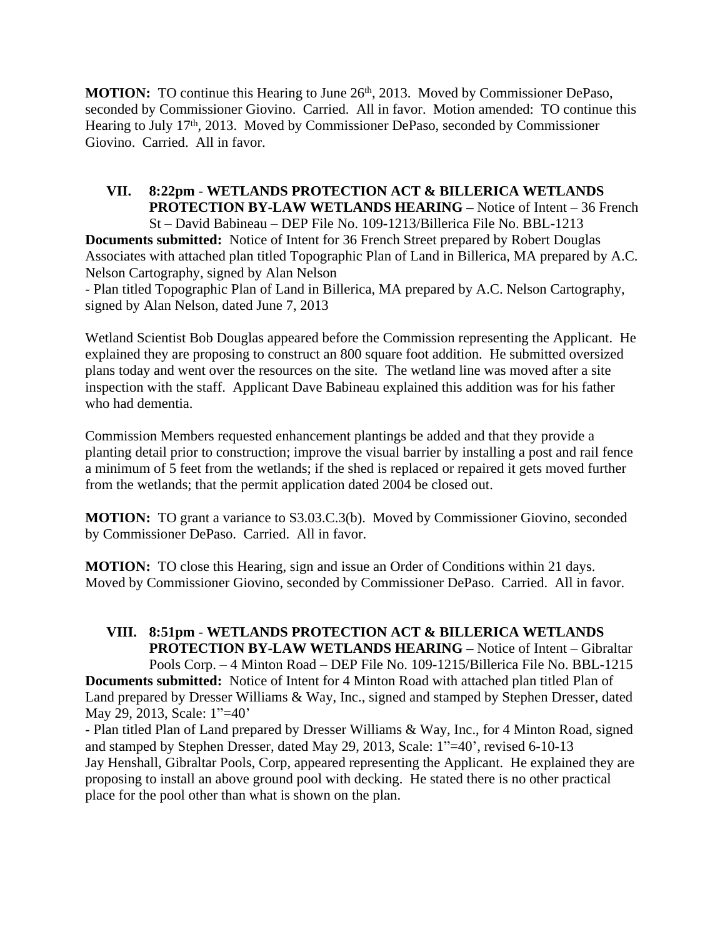MOTION: TO continue this Hearing to June 26<sup>th</sup>, 2013. Moved by Commissioner DePaso, seconded by Commissioner Giovino. Carried. All in favor. Motion amended: TO continue this Hearing to July 17th, 2013. Moved by Commissioner DePaso, seconded by Commissioner Giovino. Carried. All in favor.

**VII. 8:22pm** - **WETLANDS PROTECTION ACT & BILLERICA WETLANDS PROTECTION BY-LAW WETLANDS HEARING –** Notice of Intent – 36 French St – David Babineau – DEP File No. 109-1213/Billerica File No. BBL-1213 **Documents submitted:** Notice of Intent for 36 French Street prepared by Robert Douglas Associates with attached plan titled Topographic Plan of Land in Billerica, MA prepared by A.C. Nelson Cartography, signed by Alan Nelson - Plan titled Topographic Plan of Land in Billerica, MA prepared by A.C. Nelson Cartography, signed by Alan Nelson, dated June 7, 2013

Wetland Scientist Bob Douglas appeared before the Commission representing the Applicant. He explained they are proposing to construct an 800 square foot addition. He submitted oversized plans today and went over the resources on the site. The wetland line was moved after a site inspection with the staff. Applicant Dave Babineau explained this addition was for his father who had dementia.

Commission Members requested enhancement plantings be added and that they provide a planting detail prior to construction; improve the visual barrier by installing a post and rail fence a minimum of 5 feet from the wetlands; if the shed is replaced or repaired it gets moved further from the wetlands; that the permit application dated 2004 be closed out.

**MOTION:** TO grant a variance to S3.03.C.3(b). Moved by Commissioner Giovino, seconded by Commissioner DePaso. Carried. All in favor.

**MOTION:** TO close this Hearing, sign and issue an Order of Conditions within 21 days. Moved by Commissioner Giovino, seconded by Commissioner DePaso. Carried. All in favor.

**VIII. 8:51pm** - **WETLANDS PROTECTION ACT & BILLERICA WETLANDS PROTECTION BY-LAW WETLANDS HEARING –** Notice of Intent – Gibraltar Pools Corp. – 4 Minton Road – DEP File No. 109-1215/Billerica File No. BBL-1215

**Documents submitted:** Notice of Intent for 4 Minton Road with attached plan titled Plan of Land prepared by Dresser Williams & Way, Inc., signed and stamped by Stephen Dresser, dated May 29, 2013, Scale: 1"=40'

- Plan titled Plan of Land prepared by Dresser Williams & Way, Inc., for 4 Minton Road, signed and stamped by Stephen Dresser, dated May 29, 2013, Scale: 1"=40', revised 6-10-13 Jay Henshall, Gibraltar Pools, Corp, appeared representing the Applicant. He explained they are proposing to install an above ground pool with decking. He stated there is no other practical place for the pool other than what is shown on the plan.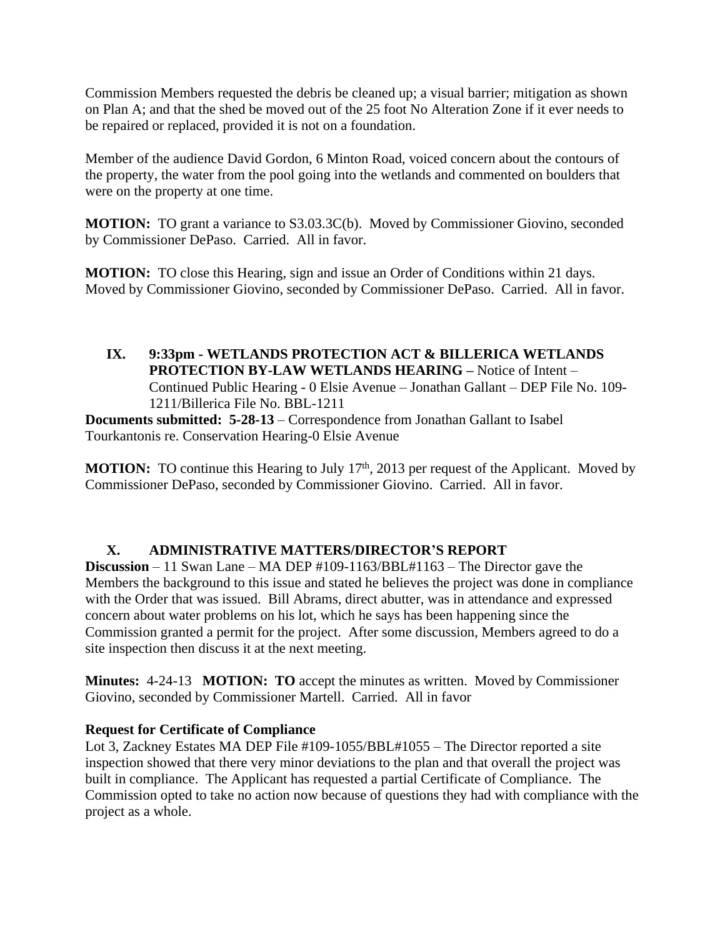Commission Members requested the debris be cleaned up; a visual barrier; mitigation as shown on Plan A; and that the shed be moved out of the 25 foot No Alteration Zone if it ever needs to be repaired or replaced, provided it is not on a foundation.

Member of the audience David Gordon, 6 Minton Road, voiced concern about the contours of the property, the water from the pool going into the wetlands and commented on boulders that were on the property at one time.

**MOTION:** TO grant a variance to S3.03.3C(b). Moved by Commissioner Giovino, seconded by Commissioner DePaso. Carried. All in favor.

**MOTION:** TO close this Hearing, sign and issue an Order of Conditions within 21 days. Moved by Commissioner Giovino, seconded by Commissioner DePaso. Carried. All in favor.

## **IX. 9:33pm - WETLANDS PROTECTION ACT & BILLERICA WETLANDS PROTECTION BY-LAW WETLANDS HEARING –** Notice of Intent – Continued Public Hearing - 0 Elsie Avenue – Jonathan Gallant – DEP File No. 109- 1211/Billerica File No. BBL-1211

**Documents submitted: 5-28-13** – Correspondence from Jonathan Gallant to Isabel Tourkantonis re. Conservation Hearing-0 Elsie Avenue

**MOTION:** TO continue this Hearing to July 17<sup>th</sup>, 2013 per request of the Applicant. Moved by Commissioner DePaso, seconded by Commissioner Giovino. Carried. All in favor.

# **X. ADMINISTRATIVE MATTERS/DIRECTOR'S REPORT**

**Discussion** – 11 Swan Lane – MA DEP #109-1163/BBL#1163 – The Director gave the Members the background to this issue and stated he believes the project was done in compliance with the Order that was issued. Bill Abrams, direct abutter, was in attendance and expressed concern about water problems on his lot, which he says has been happening since the Commission granted a permit for the project. After some discussion, Members agreed to do a site inspection then discuss it at the next meeting.

**Minutes:** 4-24-13 **MOTION: TO** accept the minutes as written. Moved by Commissioner Giovino, seconded by Commissioner Martell. Carried. All in favor

# **Request for Certificate of Compliance**

Lot 3, Zackney Estates MA DEP File #109-1055/BBL#1055 – The Director reported a site inspection showed that there very minor deviations to the plan and that overall the project was built in compliance. The Applicant has requested a partial Certificate of Compliance. The Commission opted to take no action now because of questions they had with compliance with the project as a whole.